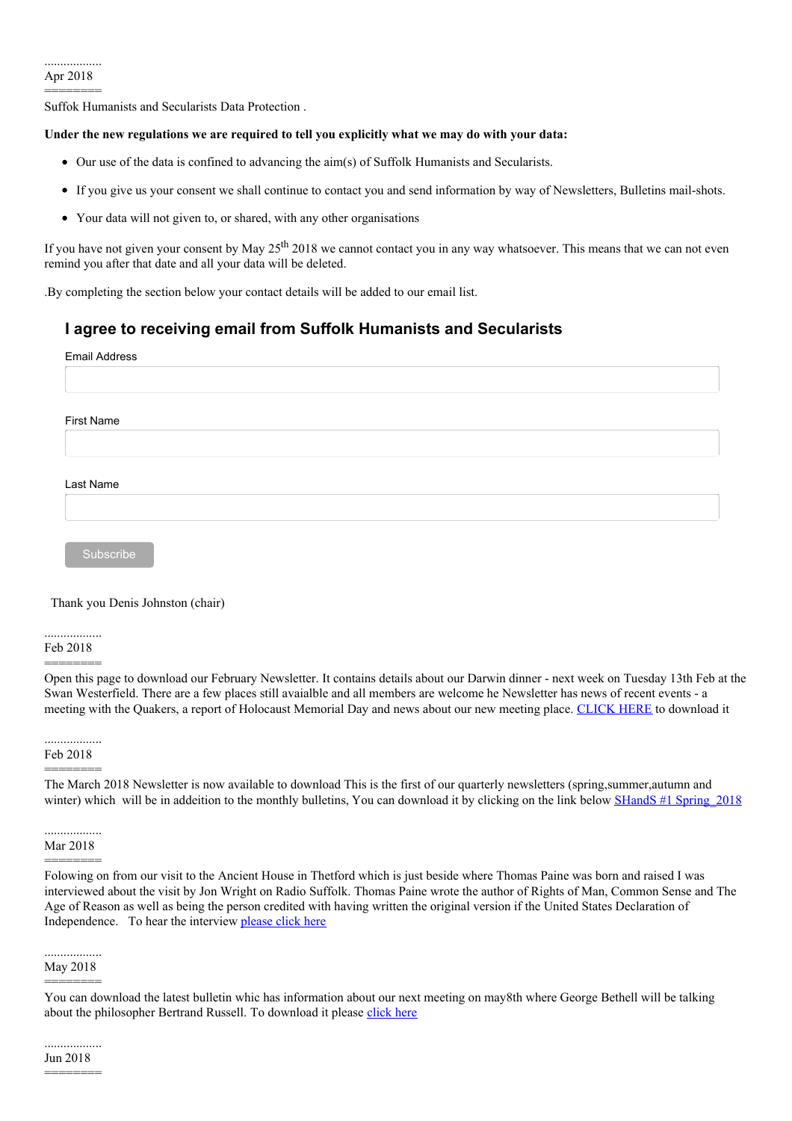Suffok Humanists and Secularists Data Protection .

# **Under the new regulations we are required to tell you explicitly what we may do with your data:**

- Our use of the data is confined to advancing the aim(s) of Suffolk Humanists and Secularists.
- If you give us your consent we shall continue to contact you and send information by way of Newsletters, Bulletins mail-shots.
- Your data will not given to, or shared, with any other organisations

If you have not given your consent by May 25<sup>th</sup> 2018 we cannot contact you in any way whatsoever. This means that we can not even remind you after that date and all your data will be deleted.

.By completing the section below your contact details will be added to our email list.

# **I agree to receiving email from Suffolk Humanists and Secularists**

| <b>Email Address</b> |  |
|----------------------|--|
|                      |  |
|                      |  |
| First Name           |  |
|                      |  |
|                      |  |
| Last Name            |  |
|                      |  |
|                      |  |
| Subscribe            |  |

# Thank you Denis Johnston (chair)

.................. Feb 2018

========

Open this page to download our February Newsletter. It contains details about our Darwin dinner - next week on Tuesday 13th Feb at the Swan Westerfield. There are a few places still avaialble and all members are welcome he Newsletter has news of recent events - a meeting with the Quakers, a report of Holocaust Memorial Day and news about our new meeting place. [CLICK](http://suffolkhands.org.uk/wp-content/uploads/2018/02/February-2018-SHANDS-newsletter.pdf) HERE to download it

..................

Feb 2018 ========

The March 2018 Newsletter is now available to download This is the first of our quarterly newsletters (spring,summer,autumn and winter) which will be in addeition to the monthly bulletins, You can download it by clicking on the link below SHandS #1 Spring 2018

.................. Mar 2018 ========

Folowing on from our visit to the Ancient House in Thetford which is just beside where Thomas Paine was born and raised I was interviewed about the visit by Jon Wright on Radio Suffolk. Thomas Paine wrote the author of Rights of Man, Common Sense and The Age of Reason as well as being the person credited with having written the original version if the United States Declaration of Independence. To hear the interview [please](http://localhost/Suffolk%20Humanists/wp-content/uploads/2018/03/SUNDAY-THOMAS-PAINE-VISIT-ROT-250318-JW.mp3) click here

#### .................. May 2018 ========

You can download the latest bulletin whic has information about our next meeting on may8th where George Bethell will be talking about the philosopher Bertrand Russell. To download it please [click](http://localhost/Suffolk%20Humanists/wp-content/uploads/2018/05/May-2018-SHANDS-bulletin.pdf) here

Jun 2018

 $=$